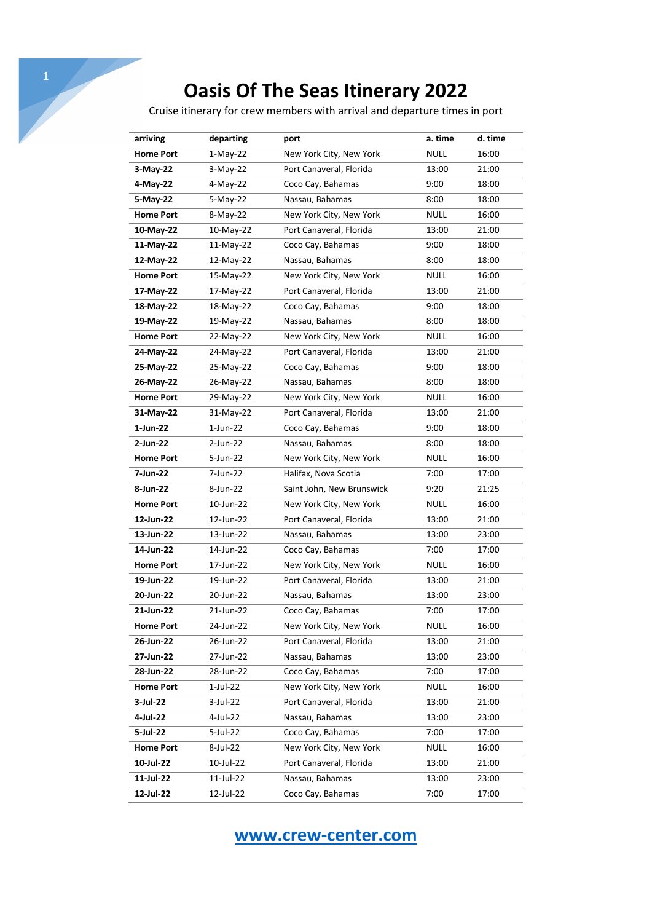Cruise itinerary for crew members with arrival and departure times in port

| arriving         | departing   | port                      | a. time     | d. time |
|------------------|-------------|---------------------------|-------------|---------|
| <b>Home Port</b> | 1-May-22    | New York City, New York   | <b>NULL</b> | 16:00   |
| $3-May-22$       | $3-May-22$  | Port Canaveral, Florida   | 13:00       | 21:00   |
| 4-May-22         | $4-May-22$  | Coco Cay, Bahamas         | 9:00        | 18:00   |
| 5-May-22         | 5-May-22    | Nassau, Bahamas           | 8:00        | 18:00   |
| <b>Home Port</b> | 8-May-22    | New York City, New York   | NULL        | 16:00   |
| 10-May-22        | 10-May-22   | Port Canaveral, Florida   | 13:00       | 21:00   |
| 11-May-22        | 11-May-22   | Coco Cay, Bahamas         | 9:00        | 18:00   |
| 12-May-22        | 12-May-22   | Nassau, Bahamas           | 8:00        | 18:00   |
| <b>Home Port</b> | 15-May-22   | New York City, New York   | <b>NULL</b> | 16:00   |
| 17-May-22        | 17-May-22   | Port Canaveral, Florida   | 13:00       | 21:00   |
| 18-May-22        | 18-May-22   | Coco Cay, Bahamas         | 9:00        | 18:00   |
| 19-May-22        | 19-May-22   | Nassau, Bahamas           | 8:00        | 18:00   |
| <b>Home Port</b> | 22-May-22   | New York City, New York   | <b>NULL</b> | 16:00   |
| 24-May-22        | 24-May-22   | Port Canaveral, Florida   | 13:00       | 21:00   |
| 25-May-22        | 25-May-22   | Coco Cay, Bahamas         | 9:00        | 18:00   |
| 26-May-22        | 26-May-22   | Nassau, Bahamas           | 8:00        | 18:00   |
| <b>Home Port</b> | 29-May-22   | New York City, New York   | <b>NULL</b> | 16:00   |
| 31-May-22        | 31-May-22   | Port Canaveral, Florida   | 13:00       | 21:00   |
| 1-Jun-22         | $1$ -Jun-22 | Coco Cay, Bahamas         | 9:00        | 18:00   |
| 2-Jun-22         | 2-Jun-22    | Nassau, Bahamas           | 8:00        | 18:00   |
| <b>Home Port</b> | 5-Jun-22    | New York City, New York   | <b>NULL</b> | 16:00   |
| 7-Jun-22         | 7-Jun-22    | Halifax, Nova Scotia      | 7:00        | 17:00   |
| 8-Jun-22         | 8-Jun-22    | Saint John, New Brunswick | 9:20        | 21:25   |
| <b>Home Port</b> | 10-Jun-22   | New York City, New York   | <b>NULL</b> | 16:00   |
| 12-Jun-22        | 12-Jun-22   | Port Canaveral, Florida   | 13:00       | 21:00   |
| 13-Jun-22        | 13-Jun-22   | Nassau, Bahamas           | 13:00       | 23:00   |
| 14-Jun-22        | 14-Jun-22   | Coco Cay, Bahamas         | 7:00        | 17:00   |
| <b>Home Port</b> | 17-Jun-22   | New York City, New York   | <b>NULL</b> | 16:00   |
| 19-Jun-22        | 19-Jun-22   | Port Canaveral, Florida   | 13:00       | 21:00   |
| 20-Jun-22        | 20-Jun-22   | Nassau, Bahamas           | 13:00       | 23:00   |
| 21-Jun-22        | 21-Jun-22   | Coco Cay, Bahamas         | 7:00        | 17:00   |
| <b>Home Port</b> | 24-Jun-22   | New York City, New York   | <b>NULL</b> | 16:00   |
| 26-Jun-22        | 26-Jun-22   | Port Canaveral, Florida   | 13:00       | 21:00   |
| 27-Jun-22        | 27-Jun-22   | Nassau, Bahamas           | 13:00       | 23:00   |
| 28-Jun-22        | 28-Jun-22   | Coco Cay, Bahamas         | 7:00        | 17:00   |
| <b>Home Port</b> | 1-Jul-22    | New York City, New York   | <b>NULL</b> | 16:00   |
| 3-Jul-22         | 3-Jul-22    | Port Canaveral, Florida   | 13:00       | 21:00   |
| 4-Jul-22         | 4-Jul-22    | Nassau, Bahamas           | 13:00       | 23:00   |
| 5-Jul-22         | 5-Jul-22    | Coco Cay, Bahamas         | 7:00        | 17:00   |
| <b>Home Port</b> | 8-Jul-22    | New York City, New York   | <b>NULL</b> | 16:00   |
| 10-Jul-22        | 10-Jul-22   | Port Canaveral, Florida   | 13:00       | 21:00   |
| 11-Jul-22        | 11-Jul-22   | Nassau, Bahamas           | 13:00       | 23:00   |
| 12-Jul-22        | 12-Jul-22   | Coco Cay, Bahamas         | 7:00        | 17:00   |

### **www.crew-center.com**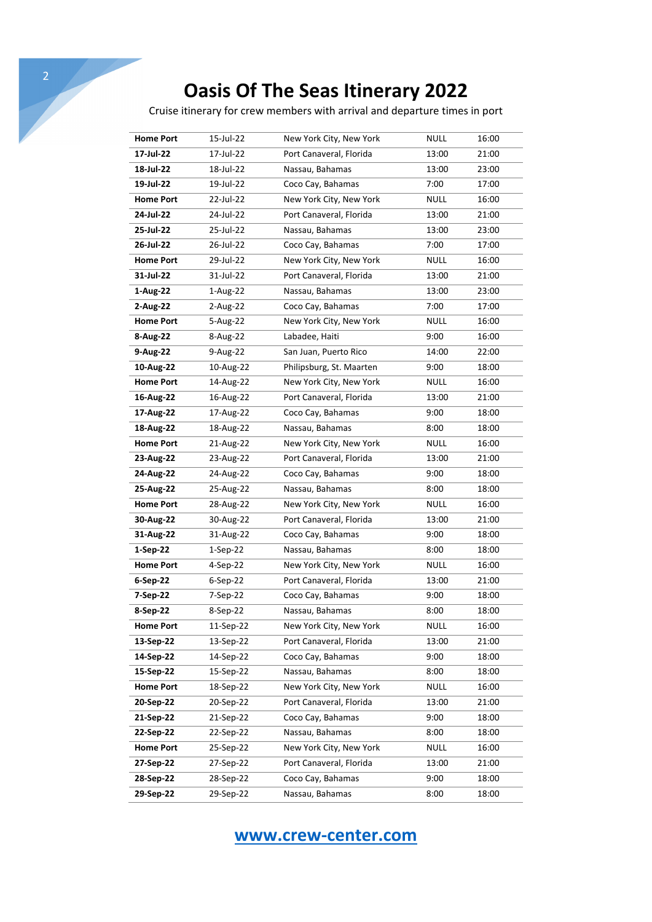Cruise itinerary for crew members with arrival and departure times in port

| <b>Home Port</b> | 15-Jul-22  | New York City, New York  | <b>NULL</b> | 16:00 |
|------------------|------------|--------------------------|-------------|-------|
| 17-Jul-22        | 17-Jul-22  | Port Canaveral, Florida  | 13:00       | 21:00 |
| 18-Jul-22        | 18-Jul-22  | Nassau, Bahamas          | 13:00       | 23:00 |
| 19-Jul-22        | 19-Jul-22  | Coco Cay, Bahamas        | 7:00        | 17:00 |
| <b>Home Port</b> | 22-Jul-22  | New York City, New York  | <b>NULL</b> | 16:00 |
| 24-Jul-22        | 24-Jul-22  | Port Canaveral, Florida  | 13:00       | 21:00 |
| 25-Jul-22        | 25-Jul-22  | Nassau, Bahamas          | 13:00       | 23:00 |
| 26-Jul-22        | 26-Jul-22  | Coco Cay, Bahamas        | 7:00        | 17:00 |
| <b>Home Port</b> | 29-Jul-22  | New York City, New York  | <b>NULL</b> | 16:00 |
| 31-Jul-22        | 31-Jul-22  | Port Canaveral, Florida  | 13:00       | 21:00 |
| 1-Aug-22         | 1-Aug-22   | Nassau, Bahamas          | 13:00       | 23:00 |
| 2-Aug-22         | 2-Aug-22   | Coco Cay, Bahamas        | 7:00        | 17:00 |
| <b>Home Port</b> | 5-Aug-22   | New York City, New York  | <b>NULL</b> | 16:00 |
| 8-Aug-22         | 8-Aug-22   | Labadee, Haiti           | 9:00        | 16:00 |
| 9-Aug-22         | 9-Aug-22   | San Juan, Puerto Rico    | 14:00       | 22:00 |
| 10-Aug-22        | 10-Aug-22  | Philipsburg, St. Maarten | 9:00        | 18:00 |
| <b>Home Port</b> | 14-Aug-22  | New York City, New York  | <b>NULL</b> | 16:00 |
| 16-Aug-22        | 16-Aug-22  | Port Canaveral, Florida  | 13:00       | 21:00 |
| 17-Aug-22        | 17-Aug-22  | Coco Cay, Bahamas        | 9:00        | 18:00 |
| 18-Aug-22        | 18-Aug-22  | Nassau, Bahamas          | 8:00        | 18:00 |
| <b>Home Port</b> | 21-Aug-22  | New York City, New York  | <b>NULL</b> | 16:00 |
| 23-Aug-22        | 23-Aug-22  | Port Canaveral, Florida  | 13:00       | 21:00 |
| 24-Aug-22        | 24-Aug-22  | Coco Cay, Bahamas        | 9:00        | 18:00 |
| 25-Aug-22        | 25-Aug-22  | Nassau, Bahamas          | 8:00        | 18:00 |
| <b>Home Port</b> | 28-Aug-22  | New York City, New York  | NULL        | 16:00 |
| 30-Aug-22        | 30-Aug-22  | Port Canaveral, Florida  | 13:00       | 21:00 |
| 31-Aug-22        | 31-Aug-22  | Coco Cay, Bahamas        | 9:00        | 18:00 |
| $1-Sep-22$       | $1-Sep-22$ | Nassau, Bahamas          | 8:00        | 18:00 |
| <b>Home Port</b> | 4-Sep-22   | New York City, New York  | <b>NULL</b> | 16:00 |
| 6-Sep-22         | 6-Sep-22   | Port Canaveral, Florida  | 13:00       | 21:00 |
| 7-Sep-22         | 7-Sep-22   | Coco Cay, Bahamas        | 9:00        | 18:00 |
| 8-Sep-22         | 8-Sep-22   | Nassau, Bahamas          | 8:00        | 18:00 |
| <b>Home Port</b> | 11-Sep-22  | New York City, New York  | <b>NULL</b> | 16:00 |
| 13-Sep-22        | 13-Sep-22  | Port Canaveral, Florida  | 13:00       | 21:00 |
| 14-Sep-22        | 14-Sep-22  | Coco Cay, Bahamas        | 9:00        | 18:00 |
| 15-Sep-22        | 15-Sep-22  | Nassau, Bahamas          | 8:00        | 18:00 |
| <b>Home Port</b> | 18-Sep-22  | New York City, New York  | <b>NULL</b> | 16:00 |
| 20-Sep-22        | 20-Sep-22  | Port Canaveral, Florida  | 13:00       | 21:00 |
| 21-Sep-22        | 21-Sep-22  | Coco Cay, Bahamas        | 9:00        | 18:00 |
| 22-Sep-22        | 22-Sep-22  | Nassau, Bahamas          | 8:00        | 18:00 |
| <b>Home Port</b> | 25-Sep-22  | New York City, New York  | <b>NULL</b> | 16:00 |
| 27-Sep-22        | 27-Sep-22  | Port Canaveral, Florida  | 13:00       | 21:00 |
| 28-Sep-22        | 28-Sep-22  | Coco Cay, Bahamas        | 9:00        | 18:00 |
| 29-Sep-22        | 29-Sep-22  | Nassau, Bahamas          | 8:00        | 18:00 |

### **www.crew-center.com**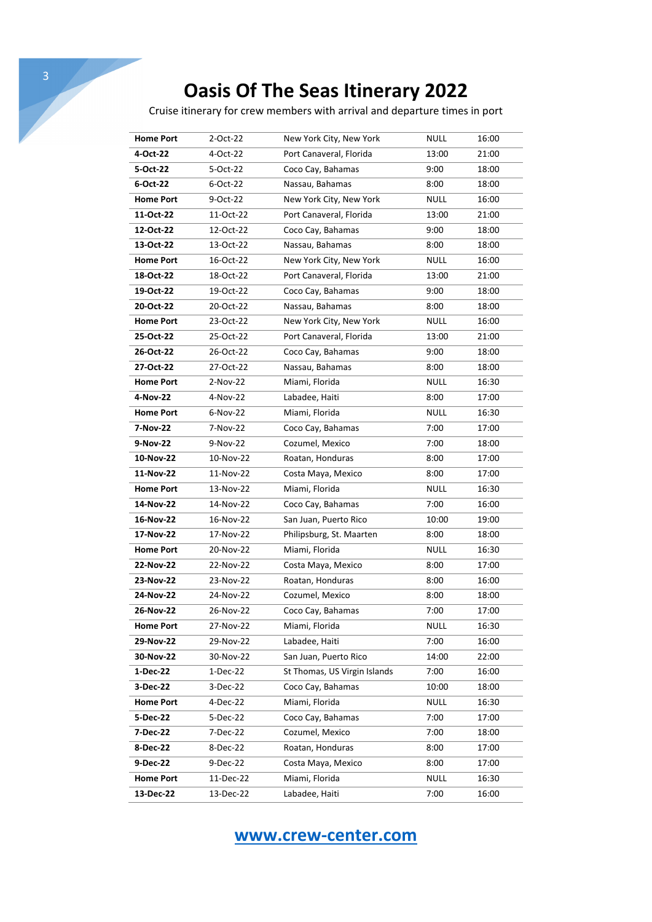Cruise itinerary for crew members with arrival and departure times in port

| <b>Home Port</b> | 2-Oct-22   | New York City, New York      | <b>NULL</b> | 16:00 |
|------------------|------------|------------------------------|-------------|-------|
| 4-Oct-22         | 4-Oct-22   | Port Canaveral, Florida      | 13:00       | 21:00 |
| 5-Oct-22         | 5-Oct-22   | Coco Cay, Bahamas            | 9:00        | 18:00 |
| 6-Oct-22         | 6-Oct-22   | Nassau, Bahamas              | 8:00        | 18:00 |
| <b>Home Port</b> | 9-Oct-22   | New York City, New York      | <b>NULL</b> | 16:00 |
| 11-Oct-22        | 11-Oct-22  | Port Canaveral, Florida      | 13:00       | 21:00 |
| 12-Oct-22        | 12-Oct-22  | Coco Cay, Bahamas            | 9:00        | 18:00 |
| 13-Oct-22        | 13-Oct-22  | Nassau, Bahamas              | 8:00        | 18:00 |
| <b>Home Port</b> | 16-Oct-22  | New York City, New York      | NULL        | 16:00 |
| 18-Oct-22        | 18-Oct-22  | Port Canaveral, Florida      | 13:00       | 21:00 |
| 19-Oct-22        | 19-Oct-22  | Coco Cay, Bahamas            | 9:00        | 18:00 |
| 20-Oct-22        | 20-Oct-22  | Nassau, Bahamas              | 8:00        | 18:00 |
| <b>Home Port</b> | 23-Oct-22  | New York City, New York      | <b>NULL</b> | 16:00 |
| 25-Oct-22        | 25-Oct-22  | Port Canaveral, Florida      | 13:00       | 21:00 |
| 26-Oct-22        | 26-Oct-22  | Coco Cay, Bahamas            | 9:00        | 18:00 |
| 27-Oct-22        | 27-Oct-22  | Nassau, Bahamas              | 8:00        | 18:00 |
| <b>Home Port</b> | $2-Nov-22$ | Miami, Florida               | NULL        | 16:30 |
| 4-Nov-22         | 4-Nov-22   | Labadee, Haiti               | 8:00        | 17:00 |
| <b>Home Port</b> | 6-Nov-22   | Miami, Florida               | <b>NULL</b> | 16:30 |
| 7-Nov-22         | 7-Nov-22   | Coco Cay, Bahamas            | 7:00        | 17:00 |
| 9-Nov-22         | 9-Nov-22   | Cozumel, Mexico              | 7:00        | 18:00 |
| 10-Nov-22        | 10-Nov-22  | Roatan, Honduras             | 8:00        | 17:00 |
| 11-Nov-22        | 11-Nov-22  | Costa Maya, Mexico           | 8:00        | 17:00 |
| <b>Home Port</b> | 13-Nov-22  | Miami, Florida               | NULL        | 16:30 |
| 14-Nov-22        | 14-Nov-22  | Coco Cay, Bahamas            | 7:00        | 16:00 |
| 16-Nov-22        | 16-Nov-22  | San Juan, Puerto Rico        | 10:00       | 19:00 |
| 17-Nov-22        | 17-Nov-22  | Philipsburg, St. Maarten     | 8:00        | 18:00 |
| <b>Home Port</b> | 20-Nov-22  | Miami, Florida               | <b>NULL</b> | 16:30 |
| 22-Nov-22        | 22-Nov-22  | Costa Maya, Mexico           | 8:00        | 17:00 |
| 23-Nov-22        | 23-Nov-22  | Roatan, Honduras             | 8:00        | 16:00 |
| 24-Nov-22        | 24-Nov-22  | Cozumel, Mexico              | 8:00        | 18:00 |
| 26-Nov-22        | 26-Nov-22  | Coco Cay, Bahamas            | 7:00        | 17:00 |
| <b>Home Port</b> | 27-Nov-22  | Miami, Florida               | <b>NULL</b> | 16:30 |
| 29-Nov-22        | 29-Nov-22  | Labadee, Haiti               | 7:00        | 16:00 |
| 30-Nov-22        | 30-Nov-22  | San Juan, Puerto Rico        | 14:00       | 22:00 |
| 1-Dec-22         | 1-Dec-22   | St Thomas, US Virgin Islands | 7:00        | 16:00 |
| 3-Dec-22         | 3-Dec-22   | Coco Cay, Bahamas            | 10:00       | 18:00 |
| <b>Home Port</b> | 4-Dec-22   | Miami, Florida               | <b>NULL</b> | 16:30 |
| 5-Dec-22         | 5-Dec-22   | Coco Cay, Bahamas            | 7:00        | 17:00 |
| 7-Dec-22         | 7-Dec-22   | Cozumel, Mexico              | 7:00        | 18:00 |
| 8-Dec-22         | 8-Dec-22   | Roatan, Honduras             | 8:00        | 17:00 |
| 9-Dec-22         | 9-Dec-22   | Costa Maya, Mexico           | 8:00        | 17:00 |
| <b>Home Port</b> | 11-Dec-22  | Miami, Florida               | NULL        | 16:30 |
| 13-Dec-22        | 13-Dec-22  | Labadee, Haiti               | 7:00        | 16:00 |

**www.crew-center.com**